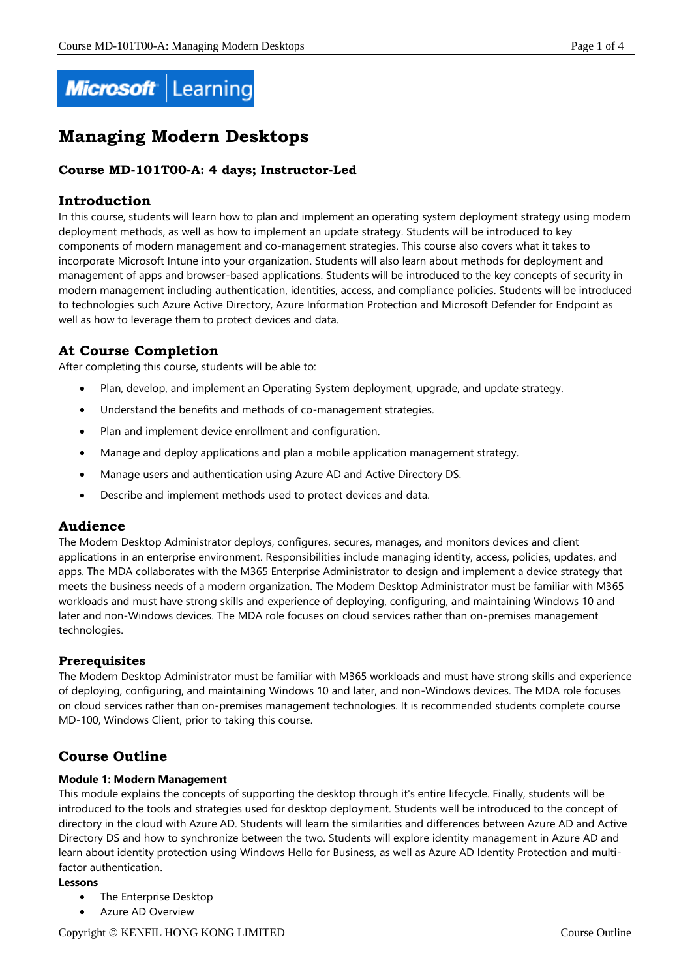

# **Managing Modern Desktops**

## **Course MD-101T00-A: 4 days; Instructor-Led**

## **Introduction**

In this course, students will learn how to plan and implement an operating system deployment strategy using modern deployment methods, as well as how to implement an update strategy. Students will be introduced to key components of modern management and co-management strategies. This course also covers what it takes to incorporate Microsoft Intune into your organization. Students will also learn about methods for deployment and management of apps and browser-based applications. Students will be introduced to the key concepts of security in modern management including authentication, identities, access, and compliance policies. Students will be introduced to technologies such Azure Active Directory, Azure Information Protection and Microsoft Defender for Endpoint as well as how to leverage them to protect devices and data.

# **At Course Completion**

After completing this course, students will be able to:

- Plan, develop, and implement an Operating System deployment, upgrade, and update strategy.
- Understand the benefits and methods of co-management strategies.
- Plan and implement device enrollment and configuration.
- Manage and deploy applications and plan a mobile application management strategy.
- Manage users and authentication using Azure AD and Active Directory DS.
- Describe and implement methods used to protect devices and data.

## **Audience**

The Modern Desktop Administrator deploys, configures, secures, manages, and monitors devices and client applications in an enterprise environment. Responsibilities include managing identity, access, policies, updates, and apps. The MDA collaborates with the M365 Enterprise Administrator to design and implement a device strategy that meets the business needs of a modern organization. The Modern Desktop Administrator must be familiar with M365 workloads and must have strong skills and experience of deploying, configuring, and maintaining Windows 10 and later and non-Windows devices. The MDA role focuses on cloud services rather than on-premises management technologies.

## **Prerequisites**

The Modern Desktop Administrator must be familiar with M365 workloads and must have strong skills and experience of deploying, configuring, and maintaining Windows 10 and later, and non-Windows devices. The MDA role focuses on cloud services rather than on-premises management technologies. It is recommended students complete course MD-100, Windows Client, prior to taking this course.

# **Course Outline**

## **Module 1: Modern Management**

This module explains the concepts of supporting the desktop through it's entire lifecycle. Finally, students will be introduced to the tools and strategies used for desktop deployment. Students well be introduced to the concept of directory in the cloud with Azure AD. Students will learn the similarities and differences between Azure AD and Active Directory DS and how to synchronize between the two. Students will explore identity management in Azure AD and learn about identity protection using Windows Hello for Business, as well as Azure AD Identity Protection and multifactor authentication.

#### **Lessons**

- The Enterprise Desktop
- Azure AD Overview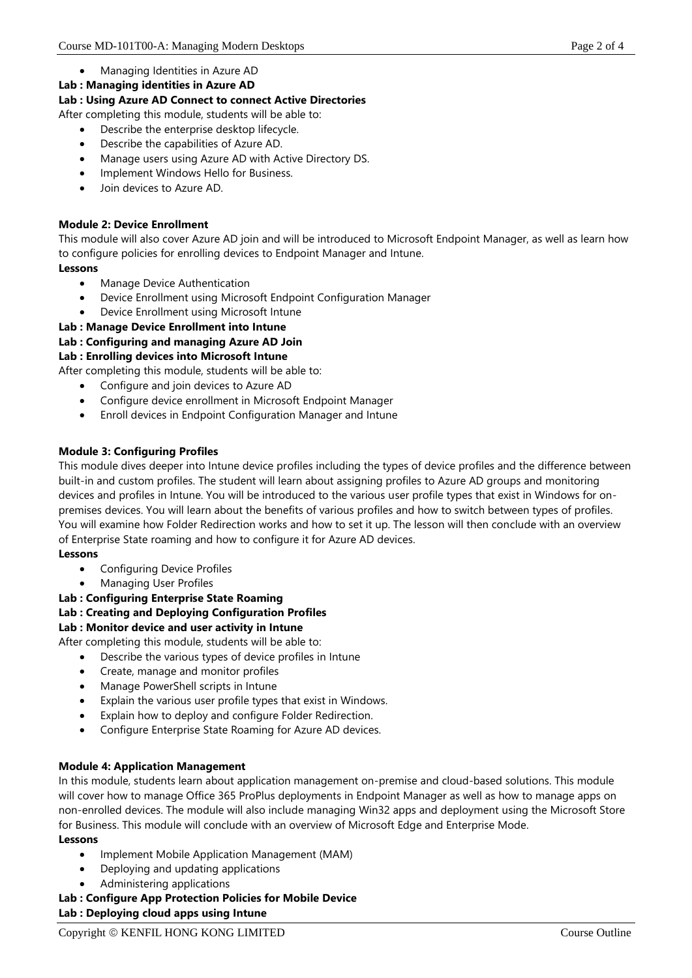- Managing Identities in Azure AD
- **Lab : Managing identities in Azure AD**

## **Lab : Using Azure AD Connect to connect Active Directories**

After completing this module, students will be able to:

- Describe the enterprise desktop lifecycle.
- Describe the capabilities of Azure AD.
- Manage users using Azure AD with Active Directory DS.
- Implement Windows Hello for Business.
- Join devices to Azure AD.

## **Module 2: Device Enrollment**

This module will also cover Azure AD join and will be introduced to Microsoft Endpoint Manager, as well as learn how to configure policies for enrolling devices to Endpoint Manager and Intune. **Lessons**

- Manage Device Authentication
- Device Enrollment using Microsoft Endpoint Configuration Manager
- Device Enrollment using Microsoft Intune

**Lab : Manage Device Enrollment into Intune**

## **Lab : Configuring and managing Azure AD Join**

## **Lab : Enrolling devices into Microsoft Intune**

After completing this module, students will be able to:

- Configure and join devices to Azure AD
- Configure device enrollment in Microsoft Endpoint Manager
- Enroll devices in Endpoint Configuration Manager and Intune

## **Module 3: Configuring Profiles**

This module dives deeper into Intune device profiles including the types of device profiles and the difference between built-in and custom profiles. The student will learn about assigning profiles to Azure AD groups and monitoring devices and profiles in Intune. You will be introduced to the various user profile types that exist in Windows for onpremises devices. You will learn about the benefits of various profiles and how to switch between types of profiles. You will examine how Folder Redirection works and how to set it up. The lesson will then conclude with an overview of Enterprise State roaming and how to configure it for Azure AD devices.

## **Lessons**

- Configuring Device Profiles
	- Managing User Profiles

**Lab : Configuring Enterprise State Roaming**

## **Lab : Creating and Deploying Configuration Profiles**

## **Lab : Monitor device and user activity in Intune**

After completing this module, students will be able to:

- Describe the various types of device profiles in Intune
- Create, manage and monitor profiles
- Manage PowerShell scripts in Intune
- Explain the various user profile types that exist in Windows.
- Explain how to deploy and configure Folder Redirection.
- Configure Enterprise State Roaming for Azure AD devices.

## **Module 4: Application Management**

In this module, students learn about application management on-premise and cloud-based solutions. This module will cover how to manage Office 365 ProPlus deployments in Endpoint Manager as well as how to manage apps on non-enrolled devices. The module will also include managing Win32 apps and deployment using the Microsoft Store for Business. This module will conclude with an overview of Microsoft Edge and Enterprise Mode.

## **Lessons**

- Implement Mobile Application Management (MAM)
- Deploying and updating applications
- Administering applications
- **Lab : Configure App Protection Policies for Mobile Device**

**Lab : Deploying cloud apps using Intune**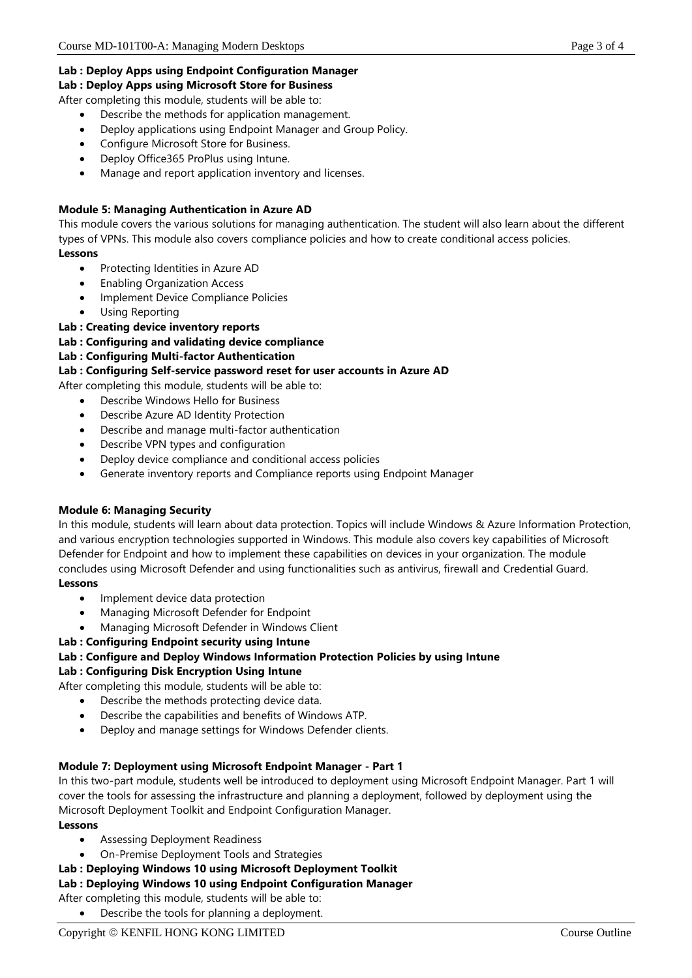## **Lab : Deploy Apps using Endpoint Configuration Manager**

**Lab : Deploy Apps using Microsoft Store for Business**

After completing this module, students will be able to:

- Describe the methods for application management.
- Deploy applications using Endpoint Manager and Group Policy.
- Configure Microsoft Store for Business.
- Deploy Office365 ProPlus using Intune.
- Manage and report application inventory and licenses.

## **Module 5: Managing Authentication in Azure AD**

This module covers the various solutions for managing authentication. The student will also learn about the different types of VPNs. This module also covers compliance policies and how to create conditional access policies. **Lessons**

- Protecting Identities in Azure AD
- Enabling Organization Access
- Implement Device Compliance Policies
- Using Reporting

## **Lab : Creating device inventory reports**

#### **Lab : Configuring and validating device compliance**

## **Lab : Configuring Multi-factor Authentication**

## **Lab : Configuring Self-service password reset for user accounts in Azure AD**

After completing this module, students will be able to:

- Describe Windows Hello for Business
	- Describe Azure AD Identity Protection
	- Describe and manage multi-factor authentication
	- Describe VPN types and configuration
	- Deploy device compliance and conditional access policies
	- Generate inventory reports and Compliance reports using Endpoint Manager

## **Module 6: Managing Security**

In this module, students will learn about data protection. Topics will include Windows & Azure Information Protection, and various encryption technologies supported in Windows. This module also covers key capabilities of Microsoft Defender for Endpoint and how to implement these capabilities on devices in your organization. The module concludes using Microsoft Defender and using functionalities such as antivirus, firewall and Credential Guard.

## **Lessons**

- Implement device data protection
- Managing Microsoft Defender for Endpoint
- Managing Microsoft Defender in Windows Client

## **Lab : Configuring Endpoint security using Intune**

# **Lab : Configure and Deploy Windows Information Protection Policies by using Intune**

## **Lab : Configuring Disk Encryption Using Intune**

After completing this module, students will be able to:

- Describe the methods protecting device data.
- Describe the capabilities and benefits of Windows ATP.
- Deploy and manage settings for Windows Defender clients.

## **Module 7: Deployment using Microsoft Endpoint Manager - Part 1**

In this two-part module, students well be introduced to deployment using Microsoft Endpoint Manager. Part 1 will cover the tools for assessing the infrastructure and planning a deployment, followed by deployment using the Microsoft Deployment Toolkit and Endpoint Configuration Manager.

#### **Lessons**

- Assessing Deployment Readiness
- On-Premise Deployment Tools and Strategies
- **Lab : Deploying Windows 10 using Microsoft Deployment Toolkit**

## **Lab : Deploying Windows 10 using Endpoint Configuration Manager**

After completing this module, students will be able to: